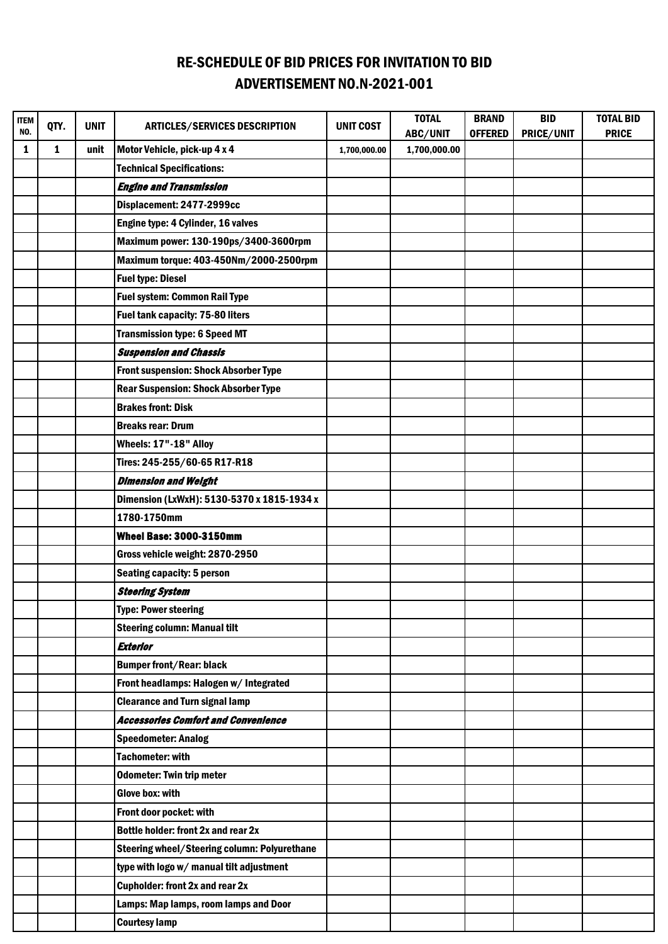## RE-SCHEDULE OF BID PRICES FOR INVITATION TO BID ADVERTISEMENT NO.N-2021-001

| <b>ITEM</b><br>NO. | QTY. | <b>UNIT</b> | <b>ARTICLES/SERVICES DESCRIPTION</b>         | <b>UNIT COST</b> | <b>TOTAL</b><br>ABC/UNIT | <b>BRAND</b><br><b>OFFERED</b> | <b>BID</b><br>PRICE/UNIT | <b>TOTAL BID</b><br><b>PRICE</b> |
|--------------------|------|-------------|----------------------------------------------|------------------|--------------------------|--------------------------------|--------------------------|----------------------------------|
| 1                  | 1    | unit        | Motor Vehicle, pick-up 4 x 4                 | 1,700,000.00     | 1,700,000.00             |                                |                          |                                  |
|                    |      |             | <b>Technical Specifications:</b>             |                  |                          |                                |                          |                                  |
|                    |      |             | <b>Engine and Transmission</b>               |                  |                          |                                |                          |                                  |
|                    |      |             | Displacement: 2477-2999cc                    |                  |                          |                                |                          |                                  |
|                    |      |             | Engine type: 4 Cylinder, 16 valves           |                  |                          |                                |                          |                                  |
|                    |      |             | Maximum power: 130-190ps/3400-3600rpm        |                  |                          |                                |                          |                                  |
|                    |      |             | Maximum torque: 403-450Nm/2000-2500rpm       |                  |                          |                                |                          |                                  |
|                    |      |             | <b>Fuel type: Diesel</b>                     |                  |                          |                                |                          |                                  |
|                    |      |             | <b>Fuel system: Common Rail Type</b>         |                  |                          |                                |                          |                                  |
|                    |      |             | Fuel tank capacity: 75-80 liters             |                  |                          |                                |                          |                                  |
|                    |      |             | <b>Transmission type: 6 Speed MT</b>         |                  |                          |                                |                          |                                  |
|                    |      |             | <b>Suspension and Chassis</b>                |                  |                          |                                |                          |                                  |
|                    |      |             | <b>Front suspension: Shock Absorber Type</b> |                  |                          |                                |                          |                                  |
|                    |      |             | <b>Rear Suspension: Shock Absorber Type</b>  |                  |                          |                                |                          |                                  |
|                    |      |             | <b>Brakes front: Disk</b>                    |                  |                          |                                |                          |                                  |
|                    |      |             | <b>Breaks rear: Drum</b>                     |                  |                          |                                |                          |                                  |
|                    |      |             | Wheels: 17"-18" Alloy                        |                  |                          |                                |                          |                                  |
|                    |      |             | Tires: 245-255/60-65 R17-R18                 |                  |                          |                                |                          |                                  |
|                    |      |             | <b>Dimension and Weight</b>                  |                  |                          |                                |                          |                                  |
|                    |      |             | Dimension (LxWxH): 5130-5370 x 1815-1934 x   |                  |                          |                                |                          |                                  |
|                    |      |             | 1780-1750mm                                  |                  |                          |                                |                          |                                  |
|                    |      |             | <b>Wheel Base: 3000-3150mm</b>               |                  |                          |                                |                          |                                  |
|                    |      |             | Gross vehicle weight: 2870-2950              |                  |                          |                                |                          |                                  |
|                    |      |             | <b>Seating capacity: 5 person</b>            |                  |                          |                                |                          |                                  |
|                    |      |             | <b>Steering System</b>                       |                  |                          |                                |                          |                                  |
|                    |      |             | Type: Power steering                         |                  |                          |                                |                          |                                  |
|                    |      |             | <b>Steering column: Manual tilt</b>          |                  |                          |                                |                          |                                  |
|                    |      |             | <b>Exterior</b>                              |                  |                          |                                |                          |                                  |
|                    |      |             | <b>Bumper front/Rear: black</b>              |                  |                          |                                |                          |                                  |
|                    |      |             | Front headlamps: Halogen w/ Integrated       |                  |                          |                                |                          |                                  |
|                    |      |             | <b>Clearance and Turn signal lamp</b>        |                  |                          |                                |                          |                                  |
|                    |      |             | <b>Accessories Comfort and Convenience</b>   |                  |                          |                                |                          |                                  |
|                    |      |             | <b>Speedometer: Analog</b>                   |                  |                          |                                |                          |                                  |
|                    |      |             | <b>Tachometer: with</b>                      |                  |                          |                                |                          |                                  |
|                    |      |             | <b>Odometer: Twin trip meter</b>             |                  |                          |                                |                          |                                  |
|                    |      |             | <b>Glove box: with</b>                       |                  |                          |                                |                          |                                  |
|                    |      |             | Front door pocket: with                      |                  |                          |                                |                          |                                  |
|                    |      |             | Bottle holder: front 2x and rear 2x          |                  |                          |                                |                          |                                  |
|                    |      |             | Steering wheel/Steering column: Polyurethane |                  |                          |                                |                          |                                  |
|                    |      |             | type with logo w/ manual tilt adjustment     |                  |                          |                                |                          |                                  |
|                    |      |             | <b>Cupholder: front 2x and rear 2x</b>       |                  |                          |                                |                          |                                  |
|                    |      |             | Lamps: Map lamps, room lamps and Door        |                  |                          |                                |                          |                                  |
|                    |      |             | <b>Courtesy lamp</b>                         |                  |                          |                                |                          |                                  |